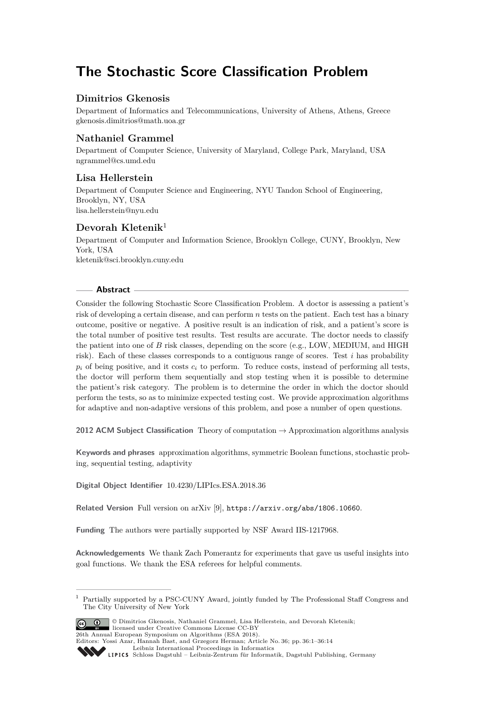# **The Stochastic Score Classification Problem**

# **Dimitrios Gkenosis**

Department of Informatics and Telecommunications, University of Athens, Athens, Greece [gkenosis.dimitrios@math.uoa.gr](mailto:gkenosis.dimitrios@math.uoa.gr)

# **Nathaniel Grammel**

Department of Computer Science, University of Maryland, College Park, Maryland, USA [ngrammel@cs.umd.edu](mailto:ngrammel@cs.umd.edu)

# **Lisa Hellerstein**

Department of Computer Science and Engineering, NYU Tandon School of Engineering, Brooklyn, NY, USA [lisa.hellerstein@nyu.edu](mailto:lisa.hellerstein@nyu.edu)

# **Devorah Kletenik**<sup>1</sup>

Department of Computer and Information Science, Brooklyn College, CUNY, Brooklyn, New York, USA [kletenik@sci.brooklyn.cuny.edu](mailto:kletenik@sci.brooklyn.cuny.edu)

## **Abstract**

Consider the following Stochastic Score Classification Problem. A doctor is assessing a patient's risk of developing a certain disease, and can perform *n* tests on the patient. Each test has a binary outcome, positive or negative. A positive result is an indication of risk, and a patient's score is the total number of positive test results. Test results are accurate. The doctor needs to classify the patient into one of *B* risk classes, depending on the score (e.g., LOW, MEDIUM, and HIGH risk). Each of these classes corresponds to a contiguous range of scores. Test *i* has probability  $p_i$  of being positive, and it costs  $c_i$  to perform. To reduce costs, instead of performing all tests, the doctor will perform them sequentially and stop testing when it is possible to determine the patient's risk category. The problem is to determine the order in which the doctor should perform the tests, so as to minimize expected testing cost. We provide approximation algorithms for adaptive and non-adaptive versions of this problem, and pose a number of open questions.

**2012 ACM Subject Classification** Theory of computation → Approximation algorithms analysis

**Keywords and phrases** approximation algorithms, symmetric Boolean functions, stochastic probing, sequential testing, adaptivity

**Digital Object Identifier** [10.4230/LIPIcs.ESA.2018.36](http://dx.doi.org/10.4230/LIPIcs.ESA.2018.36)

**Related Version** Full version on arXiv [\[9\]](#page-12-0), <https://arxiv.org/abs/1806.10660>.

**Funding** The authors were partially supported by NSF Award IIS-1217968.

**Acknowledgements** We thank Zach Pomerantz for experiments that gave us useful insights into goal functions. We thank the ESA referees for helpful comments.

<sup>1</sup> Partially supported by a PSC-CUNY Award, jointly funded by The Professional Staff Congress and The City University of New York



© Dimitrios Gkenosis, Nathaniel Grammel, Lisa Hellerstein, and Devorah Kletenik; licensed under Creative Commons License CC-BY 26th Annual European Symposium on Algorithms (ESA 2018).

Editors: Yossi Azar, Hannah Bast, and Grzegorz Herman; Article No. 36; pp. 36:1–36[:14](#page-13-0)

[Leibniz International Proceedings in Informatics](http://www.dagstuhl.de/lipics/) Leibniz International Froceedings in miormatics<br>
LIPICS [Schloss Dagstuhl – Leibniz-Zentrum für Informatik, Dagstuhl Publishing, Germany](http://www.dagstuhl.de)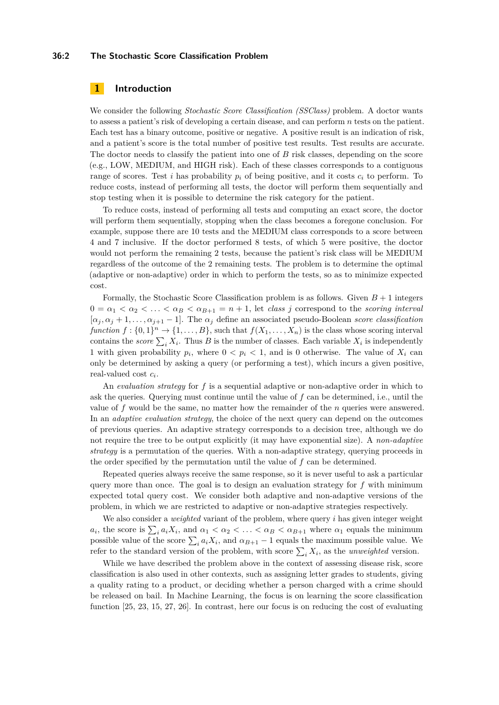### **36:2 The Stochastic Score Classification Problem**

# **1 Introduction**

We consider the following *Stochastic Score Classification (SSClass)* problem. A doctor wants to assess a patient's risk of developing a certain disease, and can perform *n* tests on the patient. Each test has a binary outcome, positive or negative. A positive result is an indication of risk, and a patient's score is the total number of positive test results. Test results are accurate. The doctor needs to classify the patient into one of *B* risk classes, depending on the score (e.g., LOW, MEDIUM, and HIGH risk). Each of these classes corresponds to a contiguous range of scores. Test *i* has probability  $p_i$  of being positive, and it costs  $c_i$  to perform. To reduce costs, instead of performing all tests, the doctor will perform them sequentially and stop testing when it is possible to determine the risk category for the patient.

To reduce costs, instead of performing all tests and computing an exact score, the doctor will perform them sequentially, stopping when the class becomes a foregone conclusion. For example, suppose there are 10 tests and the MEDIUM class corresponds to a score between 4 and 7 inclusive. If the doctor performed 8 tests, of which 5 were positive, the doctor would not perform the remaining 2 tests, because the patient's risk class will be MEDIUM regardless of the outcome of the 2 remaining tests. The problem is to determine the optimal (adaptive or non-adaptive) order in which to perform the tests, so as to minimize expected cost.

Formally, the Stochastic Score Classification problem is as follows. Given  $B+1$  integers  $0 = \alpha_1 < \alpha_2 < \ldots < \alpha_B < \alpha_{B+1} = n + 1$ , let *class j* correspond to the *scoring interval*  $[\alpha_j, \alpha_j + 1, \ldots, \alpha_{j+1} - 1]$ . The  $\alpha_j$  define an associated pseudo-Boolean *score classification function*  $f: \{0,1\}^n \to \{1,\ldots,B\}$ , such that  $f(X_1,\ldots,X_n)$  is the class whose scoring interval contains the *score*  $\sum_i X_i$ . Thus *B* is the number of classes. Each variable  $X_i$  is independently 1 with given probability  $p_i$ , where  $0 < p_i < 1$ , and is 0 otherwise. The value of  $X_i$  can only be determined by asking a query (or performing a test), which incurs a given positive, real-valued cost *c<sup>i</sup>* .

An *evaluation strategy* for *f* is a sequential adaptive or non-adaptive order in which to ask the queries. Querying must continue until the value of *f* can be determined, i.e., until the value of *f* would be the same, no matter how the remainder of the *n* queries were answered. In an *adaptive evaluation strategy*, the choice of the next query can depend on the outcomes of previous queries. An adaptive strategy corresponds to a decision tree, although we do not require the tree to be output explicitly (it may have exponential size). A *non-adaptive strategy* is a permutation of the queries. With a non-adaptive strategy, querying proceeds in the order specified by the permutation until the value of *f* can be determined.

Repeated queries always receive the same response, so it is never useful to ask a particular query more than once. The goal is to design an evaluation strategy for  $f$  with minimum expected total query cost. We consider both adaptive and non-adaptive versions of the problem, in which we are restricted to adaptive or non-adaptive strategies respectively.

We also consider a *weighted* variant of the problem, where query *i* has given integer weight *a*<sub>*i*</sub>, the score is  $\sum_i a_i X_i$ , and  $\alpha_1 < \alpha_2 < \ldots < \alpha_B < \alpha_{B+1}$  where  $\alpha_1$  equals the minimum possible value of the score  $\sum_{i} a_i X_i$ , and  $\alpha_{B+1} - 1$  equals the maximum possible value. We refer to the standard version of the problem, with score  $\sum_i X_i$ , as the *unweighted* version.

While we have described the problem above in the context of assessing disease risk, score classification is also used in other contexts, such as assigning letter grades to students, giving a quality rating to a product, or deciding whether a person charged with a crime should be released on bail. In Machine Learning, the focus is on learning the score classification function [\[25,](#page-13-1) [23,](#page-13-2) [15,](#page-13-3) [27,](#page-13-4) [26\]](#page-13-5). In contrast, here our focus is on reducing the cost of evaluating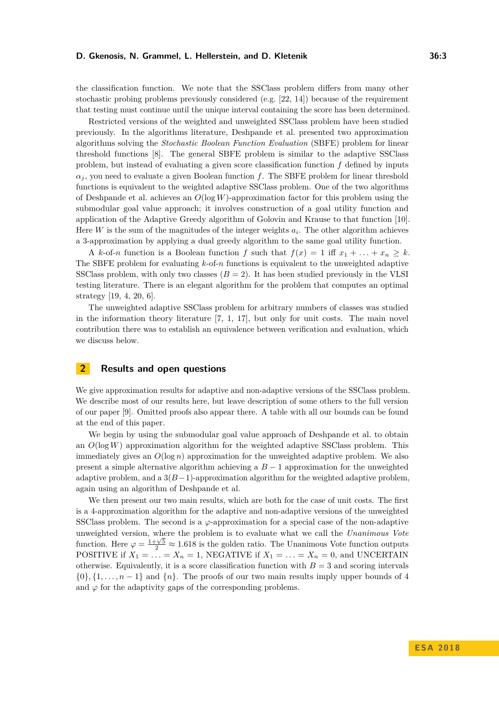the classification function. We note that the SSClass problem differs from many other stochastic probing problems previously considered (e.g. [\[22,](#page-13-6) [14\]](#page-13-7)) because of the requirement that testing must continue until the unique interval containing the score has been determined.

Restricted versions of the weighted and unweighted SSClass problem have been studied previously. In the algorithms literature, Deshpande et al. presented two approximation algorithms solving the *Stochastic Boolean Function Evaluation* (SBFE) problem for linear threshold functions [\[8\]](#page-12-1). The general SBFE problem is similar to the adaptive SSClass problem, but instead of evaluating a given score classification function *f* defined by inputs  $\alpha_i$ , you need to evaluate a given Boolean function *f*. The SBFE problem for linear threshold functions is equivalent to the weighted adaptive SSClass problem. One of the two algorithms of Deshpande et al. achieves an *O*(log *W*)-approximation factor for this problem using the submodular goal value approach; it involves construction of a goal utility function and application of the Adaptive Greedy algorithm of Golovin and Krause to that function [\[10\]](#page-12-2). Here  $W$  is the sum of the magnitudes of the integer weights  $a_i$ . The other algorithm achieves a 3-approximation by applying a dual greedy algorithm to the same goal utility function.

A  $k$ -of-*n* function is a Boolean function *f* such that  $f(x) = 1$  iff  $x_1 + \ldots + x_n \geq k$ . The SBFE problem for evaluating *k*-of-*n* functions is equivalent to the unweighted adaptive SSClass problem, with only two classes  $(B = 2)$ . It has been studied previously in the VLSI testing literature. There is an elegant algorithm for the problem that computes an optimal strategy [\[19,](#page-13-8) [4,](#page-12-3) [20,](#page-13-9) [6\]](#page-12-4).

The unweighted adaptive SSClass problem for arbitrary numbers of classes was studied in the information theory literature [\[7,](#page-12-5) [1,](#page-12-6) [17\]](#page-13-10), but only for unit costs. The main novel contribution there was to establish an equivalence between verification and evaluation, which we discuss below.

# **2 Results and open questions**

We give approximation results for adaptive and non-adaptive versions of the SSClass problem. We describe most of our results here, but leave description of some others to the full version of our paper [\[9\]](#page-12-0). Omitted proofs also appear there. A table with all our bounds can be found at the end of this paper.

We begin by using the submodular goal value approach of Deshpande et al. to obtain an *O*(log *W*) approximation algorithm for the weighted adaptive SSClass problem. This immediately gives an  $O(\log n)$  approximation for the unweighted adaptive problem. We also present a simple alternative algorithm achieving a *B* − 1 approximation for the unweighted adaptive problem, and a  $3(B-1)$ -approximation algorithm for the weighted adaptive problem, again using an algorithm of Deshpande et al.

We then present our two main results, which are both for the case of unit costs. The first is a 4-approximation algorithm for the adaptive and non-adaptive versions of the unweighted SSClass problem. The second is a  $\varphi$ -approximation for a special case of the non-adaptive unweighted version, where the problem is to evaluate what we call the *Unanimous Vote* function. Here  $\varphi = \frac{1+\sqrt{5}}{2} \approx 1.618$  is the golden ratio. The Unanimous Vote function outputs POSITIVE if  $X_1 = \ldots = X_n = 1$ , NEGATIVE if  $X_1 = \ldots = X_n = 0$ , and UNCERTAIN otherwise. Equivalently, it is a score classification function with  $B = 3$  and scoring intervals  $\{0\}, \{1, \ldots, n-1\}$  and  $\{n\}$ . The proofs of our two main results imply upper bounds of 4 and  $\varphi$  for the adaptivity gaps of the corresponding problems.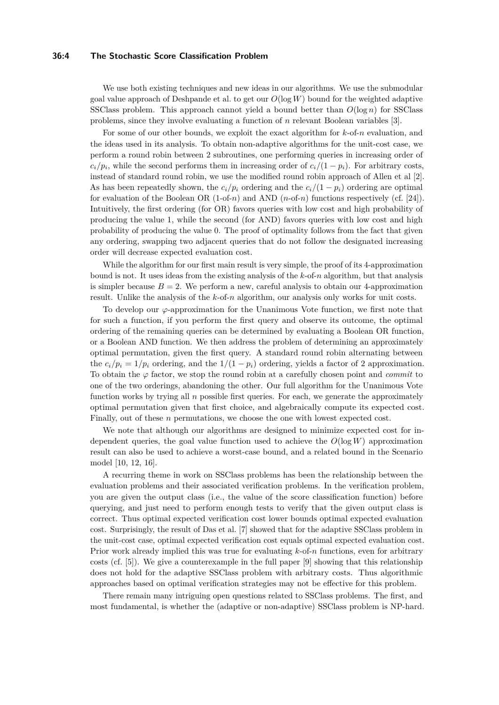### **36:4 The Stochastic Score Classification Problem**

We use both existing techniques and new ideas in our algorithms. We use the submodular goal value approach of Deshpande et al. to get our *O*(log *W*) bound for the weighted adaptive SSClass problem. This approach cannot yield a bound better than  $O(\log n)$  for SSClass problems, since they involve evaluating a function of *n* relevant Boolean variables [\[3\]](#page-12-7).

For some of our other bounds, we exploit the exact algorithm for *k*-of-*n* evaluation, and the ideas used in its analysis. To obtain non-adaptive algorithms for the unit-cost case, we perform a round robin between 2 subroutines, one performing queries in increasing order of  $c_i/p_i$ , while the second performs them in increasing order of  $c_i/(1-p_i)$ . For arbitrary costs, instead of standard round robin, we use the modified round robin approach of Allen et al [\[2\]](#page-12-8). As has been repeatedly shown, the  $c_i/p_i$  ordering and the  $c_i/(1-p_i)$  ordering are optimal for evaluation of the Boolean OR (1-of-*n*) and AND (*n*-of-*n*) functions respectively (cf. [\[24\]](#page-13-11)). Intuitively, the first ordering (for OR) favors queries with low cost and high probability of producing the value 1, while the second (for AND) favors queries with low cost and high probability of producing the value 0. The proof of optimality follows from the fact that given any ordering, swapping two adjacent queries that do not follow the designated increasing order will decrease expected evaluation cost.

While the algorithm for our first main result is very simple, the proof of its 4-approximation bound is not. It uses ideas from the existing analysis of the *k*-of-*n* algorithm, but that analysis is simpler because  $B = 2$ . We perform a new, careful analysis to obtain our 4-approximation result. Unlike the analysis of the *k*-of-*n* algorithm, our analysis only works for unit costs.

To develop our *ϕ*-approximation for the Unanimous Vote function, we first note that for such a function, if you perform the first query and observe its outcome, the optimal ordering of the remaining queries can be determined by evaluating a Boolean OR function, or a Boolean AND function. We then address the problem of determining an approximately optimal permutation, given the first query. A standard round robin alternating between the  $c_i/p_i = 1/p_i$  ordering, and the  $1/(1 - p_i)$  ordering, yields a factor of 2 approximation. To obtain the *ϕ* factor, we stop the round robin at a carefully chosen point and *commit* to one of the two orderings, abandoning the other. Our full algorithm for the Unanimous Vote function works by trying all *n* possible first queries. For each, we generate the approximately optimal permutation given that first choice, and algebraically compute its expected cost. Finally, out of these *n* permutations, we choose the one with lowest expected cost.

We note that although our algorithms are designed to minimize expected cost for independent queries, the goal value function used to achieve the  $O(\log W)$  approximation result can also be used to achieve a worst-case bound, and a related bound in the Scenario model [\[10,](#page-12-2) [12,](#page-13-12) [16\]](#page-13-13).

A recurring theme in work on SSClass problems has been the relationship between the evaluation problems and their associated verification problems. In the verification problem, you are given the output class (i.e., the value of the score classification function) before querying, and just need to perform enough tests to verify that the given output class is correct. Thus optimal expected verification cost lower bounds optimal expected evaluation cost. Surprisingly, the result of Das et al. [\[7\]](#page-12-5) showed that for the adaptive SSClass problem in the unit-cost case, optimal expected verification cost equals optimal expected evaluation cost. Prior work already implied this was true for evaluating *k*-of-*n* functions, even for arbitrary costs (cf. [\[5\]](#page-12-9)). We give a counterexample in the full paper [\[9\]](#page-12-0) showing that this relationship does not hold for the adaptive SSClass problem with arbitrary costs. Thus algorithmic approaches based on optimal verification strategies may not be effective for this problem.

There remain many intriguing open questions related to SSClass problems. The first, and most fundamental, is whether the (adaptive or non-adaptive) SSClass problem is NP-hard.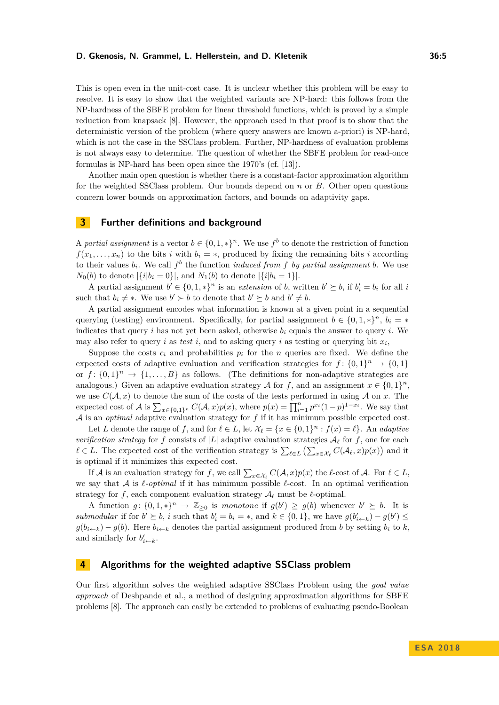This is open even in the unit-cost case. It is unclear whether this problem will be easy to resolve. It is easy to show that the weighted variants are NP-hard: this follows from the NP-hardness of the SBFE problem for linear threshold functions, which is proved by a simple reduction from knapsack [\[8\]](#page-12-1). However, the approach used in that proof is to show that the deterministic version of the problem (where query answers are known a-priori) is NP-hard, which is not the case in the SSClass problem. Further, NP-hardness of evaluation problems is not always easy to determine. The question of whether the SBFE problem for read-once formulas is NP-hard has been open since the 1970's (cf. [\[13\]](#page-13-14)).

Another main open question is whether there is a constant-factor approximation algorithm for the weighted SSClass problem. Our bounds depend on *n* or *B*. Other open questions concern lower bounds on approximation factors, and bounds on adaptivity gaps.

## **3 Further definitions and background**

A *partial assignment* is a vector  $b \in \{0, 1, *\}^n$ . We use  $f^b$  to denote the restriction of function  $f(x_1, \ldots, x_n)$  to the bits *i* with  $b_i = *$ , produced by fixing the remaining bits *i* according to their values  $b_i$ . We call  $f^b$  the function *induced from*  $f$  *by partial assignment*  $b$ . We use *N*<sub>0</sub>(*b*) to denote  $|\{i|b_i = 0\}|$ , and *N*<sub>1</sub>(*b*) to denote  $|\{i|b_i = 1\}|$ .

A partial assignment  $b' \in \{0, 1, *\}^n$  is an *extension* of *b*, written  $b' \succeq b$ , if  $b'_i = b_i$  for all *i* such that  $b_i \neq *$ . We use  $b' \succ b$  to denote that  $b' \succeq b$  and  $b' \neq b$ .

A partial assignment encodes what information is known at a given point in a sequential querying (testing) environment. Specifically, for partial assignment  $b \in \{0, 1, *\}^n$ ,  $b_i = *$ indicates that query  $i$  has not yet been asked, otherwise  $b_i$  equals the answer to query  $i$ . We may also refer to query *i* as *test i*, and to asking query *i* as testing or querying bit  $x_i$ ,

Suppose the costs  $c_i$  and probabilities  $p_i$  for the *n* queries are fixed. We define the expected costs of adaptive evaluation and verification strategies for  $f: \{0,1\}^n \to \{0,1\}$ or  $f: \{0,1\}^n \to \{1,\ldots,B\}$  as follows. (The definitions for non-adaptive strategies are analogous.) Given an adaptive evaluation strategy A for f, and an assignment  $x \in \{0,1\}^n$ , we use  $C(\mathcal{A},x)$  to denote the sum of the costs of the tests performed in using  $\mathcal{A}$  on  $x$ . The expected cost of A is  $\sum_{x \in \{0,1\}^n} C(A, x) p(x)$ , where  $p(x) = \prod_{i=1}^n p^{x_i} (1-p)^{1-x_i}$ . We say that A is an *optimal* adaptive evaluation strategy for *f* if it has minimum possible expected cost.

Let *L* denote the range of *f*, and for  $\ell \in L$ , let  $\mathcal{X}_{\ell} = \{x \in \{0,1\}^n : f(x) = \ell\}$ . An *adaptive verification strategy* for *f* consists of |*L*| adaptive evaluation strategies  $A_\ell$  for *f*, one for each  $\ell \in L$ . The expected cost of the verification strategy is  $\sum_{\ell \in L} (\sum_{x \in \mathcal{X}_{\ell}} C(\mathcal{A}_{\ell}, x)p(x))$  and it is optimal if it minimizes this expected cost.

If A is an evaluation strategy for f, we call  $\sum_{x \in \mathcal{X}_\ell} C(\mathcal{A}, x) p(x)$  the  $\ell$ -cost of A. For  $\ell \in L$ , we say that  $\mathcal A$  is  $\ell$ -*optimal* if it has minimum possible  $\ell$ -cost. In an optimal verification strategy for *f*, each component evaluation strategy  $\mathcal{A}_{\ell}$  must be  $\ell$ -optimal.

A function  $g: \{0,1,*\}^n \to \mathbb{Z}_{\geq 0}$  is *monotone* if  $g(b') \geq g(b)$  whenever  $b' \succeq b$ . It is submodular if for  $b' \geq b$ , *i* such that  $b'_i = b_i = *$ , and  $k \in \{0, 1\}$ , we have  $g(b'_{i+k}) - g(b') \leq$  $g(b_{i\leftarrow k}) - g(b)$ . Here  $b_{i\leftarrow k}$  denotes the partial assignment produced from *b* by setting  $b_i$  to *k*, and similarly for  $b'_{i \leftarrow k}$ .

## <span id="page-4-0"></span>**4 Algorithms for the weighted adaptive SSClass problem**

Our first algorithm solves the weighted adaptive SSClass Problem using the *goal value approach* of Deshpande et al., a method of designing approximation algorithms for SBFE problems [\[8\]](#page-12-1). The approach can easily be extended to problems of evaluating pseudo-Boolean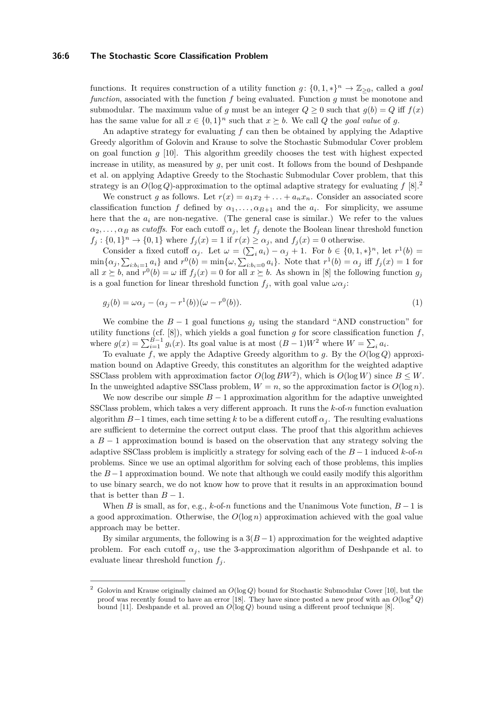### **36:6 The Stochastic Score Classification Problem**

functions. It requires construction of a utility function  $q: \{0, 1, *\}^n \to \mathbb{Z}_{\geq 0}$ , called a *goal function*, associated with the function *f* being evaluated. Function *g* must be monotone and submodular. The maximum value of *q* must be an integer  $Q > 0$  such that  $q(b) = Q$  iff  $f(x)$ has the same value for all  $x \in \{0,1\}^n$  such that  $x \succeq b$ . We call *Q* the *goal value* of *g*.

An adaptive strategy for evaluating *f* can then be obtained by applying the Adaptive Greedy algorithm of Golovin and Krause to solve the Stochastic Submodular Cover problem on goal function *g* [\[10\]](#page-12-2). This algorithm greedily chooses the test with highest expected increase in utility, as measured by  $g$ , per unit cost. It follows from the bound of Deshpande et al. on applying Adaptive Greedy to the Stochastic Submodular Cover problem, that this strategy is an  $O(\log Q)$ -approximation to the optimal adaptive strategy for evaluating  $f(8).$ <sup>[2](#page-5-0)</sup>

We construct *g* as follows. Let  $r(x) = a_1x_2 + \ldots + a_nx_n$ . Consider an associated score classification function *f* defined by  $\alpha_1, \ldots, \alpha_{B+1}$  and the  $a_i$ . For simplicity, we assume here that the  $a_i$  are non-negative. (The general case is similar.) We refer to the values  $\alpha_2, \ldots, \alpha_B$  as *cutoffs*. For each cutoff  $\alpha_j$ , let  $f_j$  denote the Boolean linear threshold function  $f_j: \{0,1\}^n \to \{0,1\}$  where  $f_j(x) = 1$  if  $r(x) \ge \alpha_j$ , and  $f_j(x) = 0$  otherwise.

Consider a fixed cutoff  $\alpha_j$ . Let  $\omega = (\sum_i a_i) - \alpha_j + 1$ . For  $b \in \{0, 1, *\}^n$ , let  $r^1(b) =$  $\min\{\alpha_j, \sum_{i:b_i=1} a_i\}$  and  $r^0(b) = \min\{\omega, \sum_{i:b_i=0} a_i\}$ . Note that  $r^1(b) = \alpha_j$  iff  $f_j(x) = 1$  for all  $x \succeq b$ , and  $r^0(b) = \omega$  iff  $f_j(x) = 0$  for all  $x \succeq b$ . As shown in [\[8\]](#page-12-1) the following function  $g_j$ is a goal function for linear threshold function  $f_i$ , with goal value  $\omega \alpha_i$ :

$$
g_j(b) = \omega \alpha_j - (\alpha_j - r^1(b))(\omega - r^0(b)).
$$
\n(1)

We combine the  $B-1$  goal functions  $g_j$  using the standard "AND construction" for utility functions (cf.  $[8]$ ), which yields a goal function *g* for score classification function *f*, where  $g(x) = \sum_{i=1}^{B-1} g_i(x)$ . Its goal value is at most  $(B-1)W^2$  where  $W = \sum_i a_i$ .

To evaluate *f*, we apply the Adaptive Greedy algorithm to *g*. By the *O*(log *Q*) approximation bound on Adaptive Greedy, this constitutes an algorithm for the weighted adaptive SSClass problem with approximation factor  $O(\log BW^2)$ , which is  $O(\log W)$  since  $B \leq W$ . In the unweighted adaptive SSClass problem,  $W = n$ , so the approximation factor is  $O(\log n)$ .

We now describe our simple  $B-1$  approximation algorithm for the adaptive unweighted SSClass problem, which takes a very different approach. It runs the *k*-of-*n* function evaluation algorithm  $B-1$  times, each time setting k to be a different cutoff  $\alpha_j$ . The resulting evaluations are sufficient to determine the correct output class. The proof that this algorithm achieves a *B* − 1 approximation bound is based on the observation that any strategy solving the adaptive SSClass problem is implicitly a strategy for solving each of the *B* − 1 induced *k*-of-*n* problems. Since we use an optimal algorithm for solving each of those problems, this implies the  $B-1$  approximation bound. We note that although we could easily modify this algorithm to use binary search, we do not know how to prove that it results in an approximation bound that is better than  $B-1$ .

When *B* is small, as for, e.g.,  $k$ -of-*n* functions and the Unanimous Vote function,  $B-1$  is a good approximation. Otherwise, the *O*(log *n*) approximation achieved with the goal value approach may be better.

By similar arguments, the following is a  $3(B-1)$  approximation for the weighted adaptive problem. For each cutoff  $\alpha_j$ , use the 3-approximation algorithm of Deshpande et al. to evaluate linear threshold function  $f_i$ .

<span id="page-5-0"></span><sup>2</sup> Golovin and Krause originally claimed an *O*(log *Q*) bound for Stochastic Submodular Cover [\[10\]](#page-12-2), but the proof was recently found to have an error [\[18\]](#page-13-15). They have since posted a new proof with an  $O(\log^2 Q)$ bound [\[11\]](#page-12-10). Deshpande et al. proved an *O*(log *Q*) bound using a different proof technique [\[8\]](#page-12-1).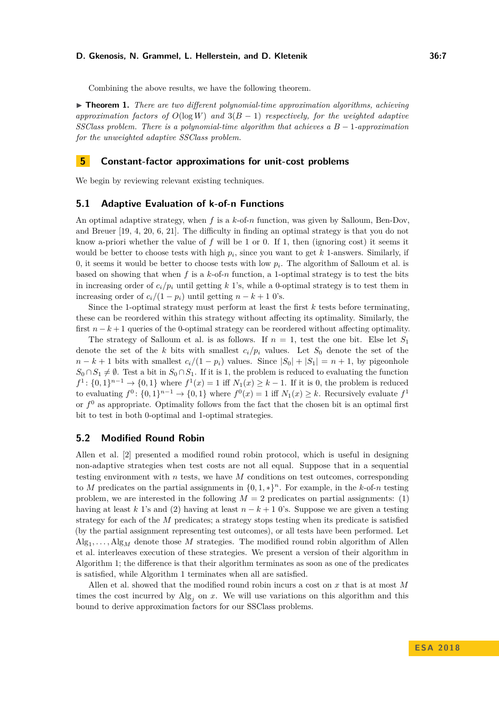Combining the above results, we have the following theorem.

▶ **Theorem 1.** *There are two different polynomial-time approximation algorithms, achieving approximation factors of*  $O(\log W)$  *and*  $3(B-1)$  *respectively, for the weighted adaptive SSClass problem. There is a polynomial-time algorithm that achieves a B* − 1*-approximation for the unweighted adaptive SSClass problem.*

# **5 Constant-factor approximations for unit-cost problems**

We begin by reviewing relevant existing techniques.

### **5.1 Adaptive Evaluation of k-of-n Functions**

An optimal adaptive strategy, when *f* is a *k*-of-*n* function, was given by Salloum, Ben-Dov, and Breuer [\[19,](#page-13-8) [4,](#page-12-3) [20,](#page-13-9) [6,](#page-12-4) [21\]](#page-13-16). The difficulty in finding an optimal strategy is that you do not know a-priori whether the value of *f* will be 1 or 0. If 1, then (ignoring cost) it seems it would be better to choose tests with high  $p_i$ , since you want to get  $k$  1-answers. Similarly, if 0, it seems it would be better to choose tests with low  $p_i$ . The algorithm of Salloum et al. is based on showing that when  $f$  is a  $k$ -of- $n$  function, a 1-optimal strategy is to test the bits in increasing order of  $c_i/p_i$  until getting k 1's, while a 0-optimal strategy is to test them in increasing order of  $c_i/(1 - p_i)$  until getting  $n - k + 1$  0's.

Since the 1-optimal strategy must perform at least the first *k* tests before terminating, these can be reordered within this strategy without affecting its optimality. Similarly, the first  $n - k + 1$  queries of the 0-optimal strategy can be reordered without affecting optimality.

The strategy of Salloum et al. is as follows. If  $n = 1$ , test the one bit. Else let  $S_1$ denote the set of the *k* bits with smallest  $c_i/p_i$  values. Let  $S_0$  denote the set of the  $n - k + 1$  bits with smallest  $c_i/(1 - p_i)$  values. Since  $|S_0| + |S_1| = n + 1$ , by pigeonhole  $S_0 \cap S_1 \neq \emptyset$ . Test a bit in  $S_0 \cap S_1$ . If it is 1, the problem is reduced to evaluating the function *f*<sup>1</sup> : {0, 1}<sup>*n*−1</sup> → {0, 1} where *f*<sup>1</sup>(*x*) = 1 iff *N*<sub>1</sub>(*x*) ≥ *k* − 1. If it is 0, the problem is reduced to evaluating  $f^0$ :  $\{0,1\}^{n-1} \to \{0,1\}$  where  $f^0(x) = 1$  iff  $N_1(x) \geq k$ . Recursively evaluate  $f^1$ or  $f^0$  as appropriate. Optimality follows from the fact that the chosen bit is an optimal first bit to test in both 0-optimal and 1-optimal strategies.

# **5.2 Modified Round Robin**

Allen et al. [\[2\]](#page-12-8) presented a modified round robin protocol, which is useful in designing non-adaptive strategies when test costs are not all equal. Suppose that in a sequential testing environment with *n* tests, we have *M* conditions on test outcomes, corresponding to *M* predicates on the partial assignments in  $\{0, 1, *\}^n$ . For example, in the *k*-of-*n* testing problem, we are interested in the following  $M = 2$  predicates on partial assignments: (1) having at least *k* 1's and (2) having at least  $n - k + 1$  0's. Suppose we are given a testing strategy for each of the *M* predicates; a strategy stops testing when its predicate is satisfied (by the partial assignment representing test outcomes), or all tests have been performed. Let  $Alg_1, \ldots, Alg_M$  denote those *M* strategies. The modified round robin algorithm of Allen et al. interleaves execution of these strategies. We present a version of their algorithm in Algorithm [1;](#page-7-0) the difference is that their algorithm terminates as soon as one of the predicates is satisfied, while Algorithm [1](#page-7-0) terminates when all are satisfied.

Allen et al. showed that the modified round robin incurs a cost on *x* that is at most *M* times the cost incurred by  $Alg_j$  on *x*. We will use variations on this algorithm and this bound to derive approximation factors for our SSClass problems.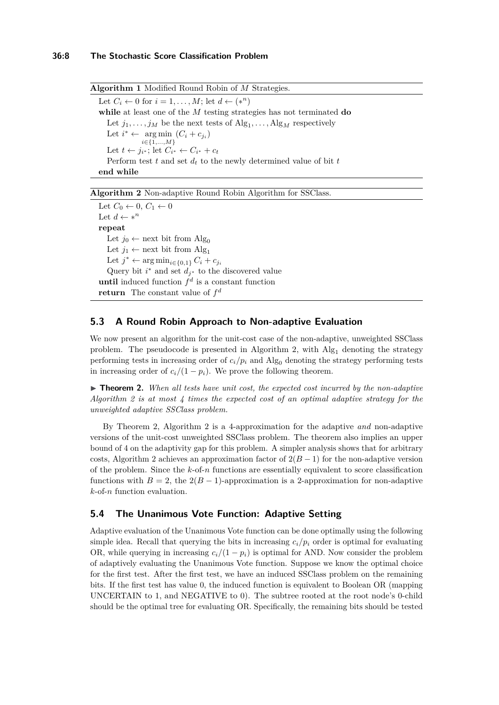### **36:8 The Stochastic Score Classification Problem**

<span id="page-7-0"></span>**Algorithm 1** Modified Round Robin of *M* Strategies. Let  $C_i \leftarrow 0$  for  $i = 1, \ldots, M$ ; let  $d \leftarrow (*^n)$ 

**while** at least one of the *M* testing strategies has not terminated **do** Let  $j_1, \ldots, j_M$  be the next tests of  $\mathrm{Alg}_1, \ldots, \mathrm{Alg}_M$  respectively Let  $i^* \leftarrow \arg \min (C_i + c_{j_i})$ *i*∈{1*,...,M*} Let  $t \leftarrow j_{i^*}$ ; let  $C_{i^*} \leftarrow C_{i^*} + c_t$ Perform test  $t$  and set  $d_t$  to the newly determined value of bit  $t$ **end while**

### <span id="page-7-1"></span>**Algorithm 2** Non-adaptive Round Robin Algorithm for SSClass.

Let  $C_0 \leftarrow 0, C_1 \leftarrow 0$ Let  $d \leftarrow *^n$ **repeat** Let  $j_0 \leftarrow$  next bit from Alg<sub>0</sub> Let  $j_1 \leftarrow$  next bit from Alg<sub>1</sub> Let  $j^* \leftarrow \arg \min_{i \in \{0,1\}} C_i + c_{j_i}$ Query bit  $i^*$  and set  $d_{j^*}$  to the discovered value **until** induced function  $f^d$  is a constant function **return** The constant value of *f d*

## <span id="page-7-3"></span>**5.3 A Round Robin Approach to Non-adaptive Evaluation**

We now present an algorithm for the unit-cost case of the non-adaptive, unweighted SSClass problem. The pseudocode is presented in Algorithm [2,](#page-7-1) with  $Alg_1$  denoting the strategy performing tests in increasing order of  $c_i/p_i$  and Alg<sub>0</sub> denoting the strategy performing tests in increasing order of  $c_i/(1 - p_i)$ . We prove the following theorem.

<span id="page-7-2"></span> $\triangleright$  **Theorem 2.** *When all tests have unit cost, the expected cost incurred by the non-adaptive Algorithm [2](#page-7-1) is at most 4 times the expected cost of an optimal adaptive strategy for the unweighted adaptive SSClass problem.*

By Theorem [2,](#page-7-2) Algorithm [2](#page-7-1) is a 4-approximation for the adaptive *and* non-adaptive versions of the unit-cost unweighted SSClass problem. The theorem also implies an upper bound of 4 on the adaptivity gap for this problem. A simpler analysis shows that for arbitrary costs, Algorithm [2](#page-7-1) achieves an approximation factor of  $2(B-1)$  for the non-adaptive version of the problem. Since the *k*-of-*n* functions are essentially equivalent to score classification functions with  $B = 2$ , the  $2(B - 1)$ -approximation is a 2-approximation for non-adaptive *k*-of-*n* function evaluation.

## <span id="page-7-4"></span>**5.4 The Unanimous Vote Function: Adaptive Setting**

Adaptive evaluation of the Unanimous Vote function can be done optimally using the following simple idea. Recall that querying the bits in increasing  $c_i/p_i$  order is optimal for evaluating OR, while querying in increasing  $c_i/(1 - p_i)$  is optimal for AND. Now consider the problem of adaptively evaluating the Unanimous Vote function. Suppose we know the optimal choice for the first test. After the first test, we have an induced SSClass problem on the remaining bits. If the first test has value 0, the induced function is equivalent to Boolean OR (mapping UNCERTAIN to 1, and NEGATIVE to 0). The subtree rooted at the root node's 0-child should be the optimal tree for evaluating OR. Specifically, the remaining bits should be tested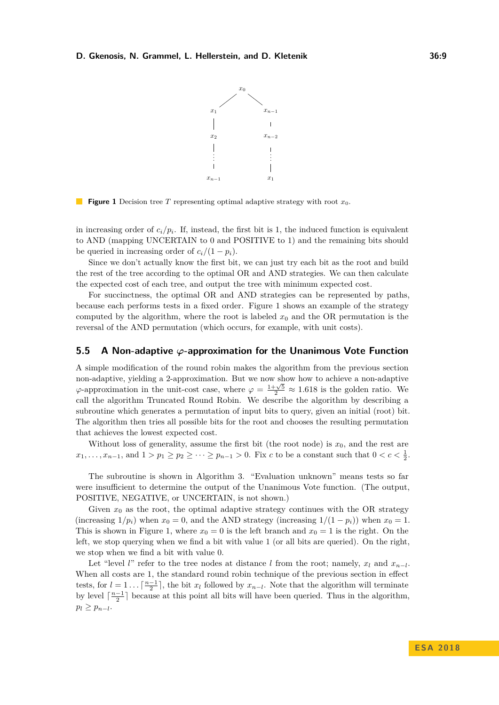

<span id="page-8-0"></span>**Figure 1** Decision tree *T* representing optimal adaptive strategy with root  $x_0$ .

in increasing order of  $c_i/p_i$ . If, instead, the first bit is 1, the induced function is equivalent to AND (mapping UNCERTAIN to 0 and POSITIVE to 1) and the remaining bits should be queried in increasing order of  $c_i/(1 - p_i)$ .

Since we don't actually know the first bit, we can just try each bit as the root and build the rest of the tree according to the optimal OR and AND strategies. We can then calculate the expected cost of each tree, and output the tree with minimum expected cost.

For succinctness, the optimal OR and AND strategies can be represented by paths, because each performs tests in a fixed order. Figure [1](#page-8-0) shows an example of the strategy computed by the algorithm, where the root is labeled  $x_0$  and the OR permutation is the reversal of the AND permutation (which occurs, for example, with unit costs).

### <span id="page-8-1"></span>**5.5 A Non-adaptive** *ϕ***-approximation for the Unanimous Vote Function**

A simple modification of the round robin makes the algorithm from the previous section non-adaptive, yielding a 2-approximation. But we now show how to achieve a non-adaptive  $\varphi$ -approximation in the unit-cost case, where  $\varphi = \frac{1+\sqrt{5}}{2} \approx 1.618$  is the golden ratio. We call the algorithm Truncated Round Robin. We describe the algorithm by describing a subroutine which generates a permutation of input bits to query, given an initial (root) bit. The algorithm then tries all possible bits for the root and chooses the resulting permutation that achieves the lowest expected cost.

Without loss of generality, assume the first bit (the root node) is  $x_0$ , and the rest are  $x_1, \ldots, x_{n-1}$ , and  $1 > p_1 \geq p_2 \geq \cdots \geq p_{n-1} > 0$ . Fix *c* to be a constant such that  $0 < c < \frac{1}{2}$ .

The subroutine is shown in Algorithm [3.](#page-9-0) "Evaluation unknown" means tests so far were insufficient to determine the output of the Unanimous Vote function. (The output, POSITIVE, NEGATIVE, or UNCERTAIN, is not shown.)

Given  $x_0$  as the root, the optimal adaptive strategy continues with the OR strategy (increasing  $1/p_i$ ) when  $x_0 = 0$ , and the AND strategy (increasing  $1/(1 - p_i)$ ) when  $x_0 = 1$ . This is shown in Figure [1,](#page-8-0) where  $x_0 = 0$  is the left branch and  $x_0 = 1$  is the right. On the left, we stop querying when we find a bit with value 1 (or all bits are queried). On the right, we stop when we find a bit with value 0.

Let "level *l*" refer to the tree nodes at distance *l* from the root; namely,  $x_l$  and  $x_{n-l}$ . When all costs are 1, the standard round robin technique of the previous section in effect tests, for  $l = 1 \ldots \lceil \frac{n-1}{2} \rceil$ , the bit  $x_l$  followed by  $x_{n-l}$ . Note that the algorithm will terminate by level  $\lceil \frac{n-1}{2} \rceil$  because at this point all bits will have been queried. Thus in the algorithm,  $p_l \geq p_{n-l}$ .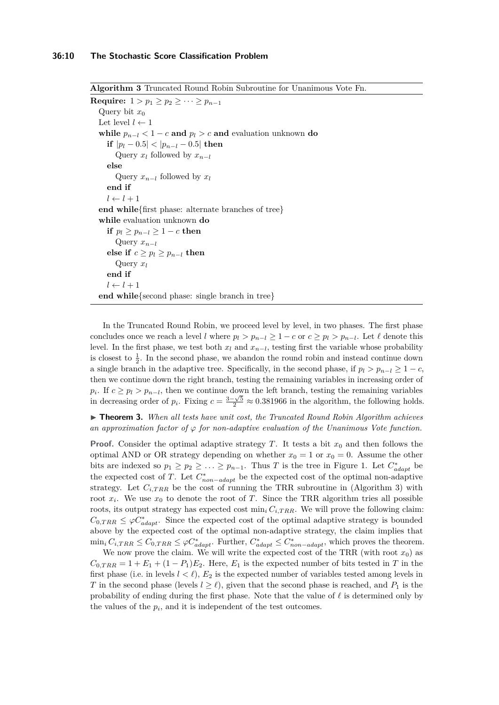<span id="page-9-0"></span>**Algorithm 3** Truncated Round Robin Subroutine for Unanimous Vote Fn.

**Require:** 1 > *p*<sub>1</sub> ≥ *p*<sub>2</sub> ≥ · · · ≥ *p*<sub>*n*−1</sub> Query bit  $x_0$ Let level  $l \leftarrow 1$ **while**  $p_{n-l} < 1 - c$  **and**  $p_l > c$  **and** evaluation unknown **do if**  $|p_l - 0.5| < |p_{n-l} - 0.5|$  **then** Query  $x_l$  followed by  $x_{n-l}$ **else** Query  $x_{n-l}$  followed by  $x_l$ **end if**  $l \leftarrow l + 1$ **end while**{first phase: alternate branches of tree} **while** evaluation unknown **do if**  $p_l \geq p_{n-l} \geq 1 - c$  **then** Query *xn*−*<sup>l</sup>* **else if**  $c ≥ p_l ≥ p_{n-l}$  **then** Query *x<sup>l</sup>* **end if**  $l \leftarrow l + 1$ **end while**{second phase: single branch in tree}

In the Truncated Round Robin, we proceed level by level, in two phases. The first phase concludes once we reach a level *l* where  $p_l > p_{n-l} \geq 1 - c$  or  $c \geq p_l > p_{n-l}$ . Let  $\ell$  denote this level. In the first phase, we test both  $x_l$  and  $x_{n-l}$ , testing first the variable whose probability is closest to  $\frac{1}{2}$ . In the second phase, we abandon the round robin and instead continue down a single branch in the adaptive tree. Specifically, in the second phase, if  $p_l > p_{n-l} \geq 1 - c$ , then we continue down the right branch, testing the remaining variables in increasing order of *p*<sup>*i*</sup>. If  $c \geq p_l > p_{n-l}$ , then we continue down the left branch, testing the remaining variables  $p_i$ . If  $c \leq p_i > p_{n-l}$ , then we continue down the left branch, testing the remaining variables in decreasing order of  $p_i$ . Fixing  $c = \frac{3-\sqrt{5}}{2} \approx 0.381966$  in the algorithm, the following holds.

▶ **Theorem 3.** When all tests have unit cost, the Truncated Round Robin Algorithm achieves *an approximation factor of ϕ for non-adaptive evaluation of the Unanimous Vote function.*

**Proof.** Consider the optimal adaptive strategy *T*. It tests a bit  $x_0$  and then follows the optimal AND or OR strategy depending on whether  $x_0 = 1$  or  $x_0 = 0$ . Assume the other bits are indexed so  $p_1 \geq p_2 \geq \ldots \geq p_{n-1}$ . Thus *T* is the tree in Figure [1.](#page-8-0) Let  $C_{adapt}^*$  be the expected cost of *T*. Let *C* ∗ *non*−*adapt* be the expected cost of the optimal non-adaptive strategy. Let  $C_{i,TRR}$  be the cost of running the TRR subroutine in (Algorithm [3\)](#page-9-0) with root  $x_i$ . We use  $x_0$  to denote the root of T. Since the TRR algorithm tries all possible roots, its output strategy has expected cost  $\min_i C_{i,TRR}$ . We will prove the following claim:  $C_{0,TRR} \leq \varphi C_{adapt}^*$ . Since the expected cost of the optimal adaptive strategy is bounded above by the expected cost of the optimal non-adaptive strategy, the claim implies that  $\min_i C_{i,TRR} \leq C_{0,TRR} \leq \varphi C_{adapt}^*$ . Further,  $C_{adapt}^* \leq C_{non-adapt}^*$ , which proves the theorem.

We now prove the claim. We will write the expected cost of the TRR (with root  $x_0$ ) as  $C_{0,TRR} = 1 + E_1 + (1 - P_1)E_2$ . Here,  $E_1$  is the expected number of bits tested in *T* in the first phase (i.e. in levels  $l < l$ ),  $E_2$  is the expected number of variables tested among levels in *T* in the second phase (levels  $l \geq \ell$ ), given that the second phase is reached, and  $P_1$  is the probability of ending during the first phase. Note that the value of  $\ell$  is determined only by the values of the  $p_i$ , and it is independent of the test outcomes.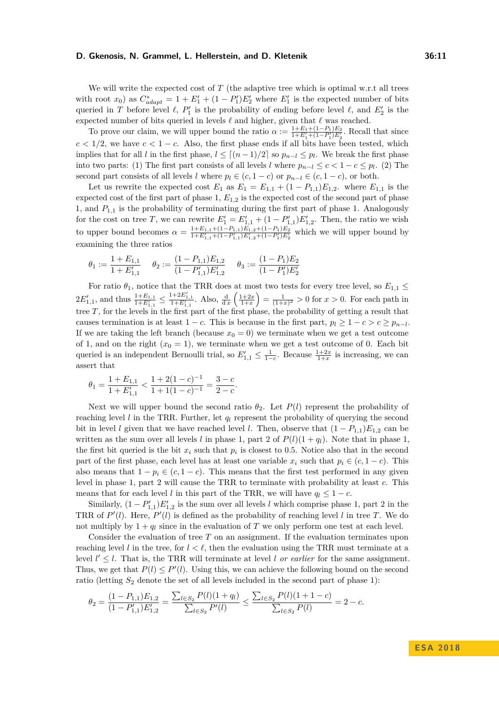We will write the expected cost of *T* (the adaptive tree which is optimal w.r.t all trees with root  $x_0$ ) as  $C_{adapt}^* = 1 + E_1' + (1 - P_1')E_2'$  where  $E_1'$  is the expected number of bits queried in *T* before level  $\ell$ ,  $P'_1$  is the probability of ending before level  $\ell$ , and  $E'_2$  is the expected number of bits queried in levels  $\ell$  and higher, given that  $\ell$  was reached.

To prove our claim, we will upper bound the ratio  $\alpha := \frac{1+E_1+(1-P_1)E_2}{1+E'_1+(1-P'_1)E'_2}$ . Recall that since  $c < 1/2$ , we have  $c < 1 - c$ . Also, the first phase ends if all bits have been tested, which implies that for all *l* in the first phase,  $l \leq [(n-1)/2]$  so  $p_{n-l} \leq p_l$ . We break the first phase into two parts: (1) The first part consists of all levels *l* where  $p_{n-l} \leq c < 1-c \leq p_l$ . (2) The second part consists of all levels *l* where  $p_l \in (c, 1-c)$  or  $p_{n-l} \in (c, 1-c)$ , or both.

Let us rewrite the expected cost  $E_1$  as  $E_1 = E_{1,1} + (1 - P_{1,1})E_{1,2}$ . where  $E_{1,1}$  is the expected cost of the first part of phase 1, *E*1*,*<sup>2</sup> is the expected cost of the second part of phase 1, and *P*1*,*<sup>1</sup> is the probability of terminating during the first part of phase 1. Analogously for the cost on tree *T*, we can rewrite  $E_1' = E_{1,1}' + (1 - P_{1,1}')E_{1,2}'$ . Then, the ratio we wish to upper bound becomes  $\alpha = \frac{1+E_{1,1}+(1-P_{1,1})E_{1,2}+(1-P_1)E_2}{1+E'_{1,1}+(1-P'_{1,1})E'_{1,2}+(1-P'_1)E'_2}$  which we will upper bound by examining the three ratios

$$
\theta_1 := \frac{1 + E_{1,1}}{1 + E'_{1,1}} \quad \theta_2 := \frac{(1 - P_{1,1})E_{1,2}}{(1 - P'_{1,1})E'_{1,2}} \quad \theta_3 := \frac{(1 - P_1)E_2}{(1 - P'_1)E'_2}
$$

For ratio  $\theta_1$ , notice that the TRR does at most two tests for every tree level, so  $E_{1,1} \leq$  $2E'_{1,1}$ , and thus  $\frac{1+E_{1,1}}{1+E'_{1,1}} \leq \frac{1+2E'_{1,1}}{1+E'_{1,1}}$ . Also,  $\frac{d}{dx}\left(\frac{1+2x}{1+x}\right) = \frac{1}{(1+x)^2} > 0$  for  $x > 0$ . For each path in tree *T*, for the levels in the first part of the first phase, the probability of getting a result that causes termination is at least  $1 - c$ . This is because in the first part,  $p_l \geq 1 - c > c \geq p_{n-l}$ . If we are taking the left branch (because  $x_0 = 0$ ) we terminate when we get a test outcome of 1, and on the right  $(x_0 = 1)$ , we terminate when we get a test outcome of 0. Each bit queried is an independent Bernoulli trial, so  $E'_{1,1} \leq \frac{1}{1-c}$ . Because  $\frac{1+2x}{1+x}$  is increasing, we can assert that

$$
\theta_1 = \frac{1+E_{1,1}}{1+E_{1,1}'} < \frac{1+2(1-c)^{-1}}{1+1(1-c)^{-1}} = \frac{3-c}{2-c}.
$$

Next we will upper bound the second ratio  $\theta_2$ . Let  $P(l)$  represent the probability of reaching level *l* in the TRR. Further, let *q<sup>l</sup>* represent the probability of querying the second bit in level *l* given that we have reached level *l*. Then, observe that  $(1 - P_{1,1})E_{1,2}$  can be written as the sum over all levels *l* in phase 1, part 2 of  $P(l)(1 + q_l)$ . Note that in phase 1, the first bit queried is the bit  $x_i$  such that  $p_i$  is closest to 0.5. Notice also that in the second part of the first phase, each level has at least one variable  $x_i$  such that  $p_i \in (c, 1-c)$ . This also means that  $1 - p_i \in (c, 1 - c)$ . This means that the first test performed in any given level in phase 1, part 2 will cause the TRR to terminate with probability at least *c*. This means that for each level *l* in this part of the TRR, we will have  $q_l \leq 1 - c$ .

Similarly,  $(1 - P'_{1,1})E'_{1,2}$  is the sum over all levels *l* which comprise phase 1, part 2 in the TRR of  $P'(l)$ . Here,  $P'(l)$  is defined as the probability of reaching level *l* in tree *T*. We do not multiply by  $1 + q_l$  since in the evaluation of *T* we only perform one test at each level.

Consider the evaluation of tree *T* on an assignment. If the evaluation terminates upon reaching level *l* in the tree, for  $l < \ell$ , then the evaluation using the TRR must terminate at a level  $l' \leq l$ . That is, the TRR will terminate at level *l or earlier* for the same assignment. Thus, we get that  $P(l) \leq P'(l)$ . Using this, we can achieve the following bound on the second ratio (letting  $S_2$  denote the set of all levels included in the second part of phase 1):

$$
\theta_2 = \frac{(1 - P_{1,1})E_{1,2}}{(1 - P'_{1,1})E'_{1,2}} = \frac{\sum_{l \in S_2} P(l)(1 + q_l)}{\sum_{l \in S_2} P'(l)} \le \frac{\sum_{l \in S_2} P(l)(1 + 1 - c)}{\sum_{l \in S_2} P(l)} = 2 - c.
$$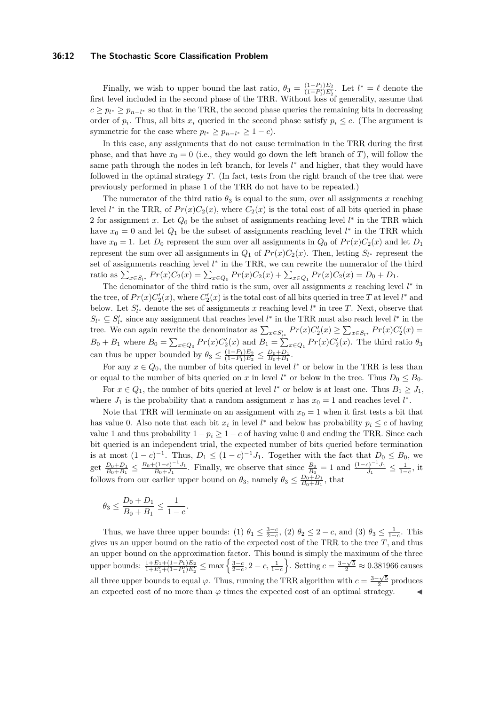### **36:12 The Stochastic Score Classification Problem**

Finally, we wish to upper bound the last ratio,  $\theta_3 = \frac{(1-P_1)E_2}{(1-P_1')E_2'}$ . Let  $l^* = \ell$  denote the first level included in the second phase of the TRR. Without loss of generality, assume that  $c \geq p_{l^*} \geq p_{n-l^*}$  so that in the TRR, the second phase queries the remaining bits in decreasing order of  $p_i$ . Thus, all bits  $x_i$  queried in the second phase satisfy  $p_i \leq c$ . (The argument is symmetric for the case where  $p_{l^*} \geq p_{n-l^*} \geq 1 - c$ .

In this case, any assignments that do not cause termination in the TRR during the first phase, and that have  $x_0 = 0$  (i.e., they would go down the left branch of *T*), will follow the same path through the nodes in left branch, for levels  $l^*$  and higher, that they would have followed in the optimal strategy *T*. (In fact, tests from the right branch of the tree that were previously performed in phase 1 of the TRR do not have to be repeated.)

The numerator of the third ratio  $\theta_3$  is equal to the sum, over all assignments *x* reaching level  $l^*$  in the TRR, of  $Pr(x)C_2(x)$ , where  $C_2(x)$  is the total cost of all bits queried in phase 2 for assignment *x*. Let  $Q_0$  be the subset of assignments reaching level  $l^*$  in the TRR which have  $x_0 = 0$  and let  $Q_1$  be the subset of assignments reaching level  $l^*$  in the TRR which have  $x_0 = 1$ . Let  $D_0$  represent the sum over all assignments in  $Q_0$  of  $Pr(x)C_2(x)$  and let  $D_1$ represent the sum over all assignments in  $Q_1$  of  $Pr(x)C_2(x)$ . Then, letting  $S_{l^*}$  represent the set of assignments reaching level  $l^*$  in the TRR, we can rewrite the numerator of the third ratio as  $\sum_{x \in S_{l^*}} Pr(x)C_2(x) = \sum_{x \in Q_0} Pr(x)C_2(x) + \sum_{x \in Q_1} Pr(x)C_2(x) = D_0 + D_1.$ 

The denominator of the third ratio is the sum, over all assignments  $x$  reaching level  $l^*$  in the tree, of  $Pr(x)C'_{2}(x)$ , where  $C'_{2}(x)$  is the total cost of all bits queried in tree *T* at level *l*<sup>\*</sup> and below. Let  $S'_{l^*}$  denote the set of assignments *x* reaching level  $l^*$  in tree *T*. Next, observe that  $S_{l^*} \subseteq S'_{l^*}$  since any assignment that reaches level  $l^*$  in the TRR must also reach level  $l^*$  in the tree. We can again rewrite the denominator as  $\sum_{x \in S'_{l^*}} Pr(x)C'_2(x) \ge \sum_{x \in S_{l^*}} Pr(x)C'_2(x)$  $B_0 + B_1$  where  $B_0 = \sum_{x \in Q_0} Pr(x)C_2'(x)$  and  $B_1 = \sum_{x \in Q_1} Pr(x)C_2'(x)$ . The third ratio  $\theta_3$ can thus be upper bounded by  $\theta_3 \leq \frac{(1-P_1)E_2}{(1-P_1)E_2}$  $\frac{(1-P_1)E_2}{(1-P_1)E_2} \leq \frac{D_0+D_1}{B_0+B_1}.$ 

For any  $x \in Q_0$ , the number of bits queried in level  $l^*$  or below in the TRR is less than or equal to the number of bits queried on *x* in level  $l^*$  or below in the tree. Thus  $D_0 \leq B_0$ . For  $x \in Q_1$ , the number of bits queried at level  $l^*$  or below is at least one. Thus  $B_1 \geq J_1$ ,

where  $J_1$  is the probability that a random assignment *x* has  $x_0 = 1$  and reaches level  $l^*$ .

Note that TRR will terminate on an assignment with  $x_0 = 1$  when it first tests a bit that has value 0. Also note that each bit  $x_i$  in level  $l^*$  and below has probability  $p_i \leq c$  of having value 1 and thus probability  $1 - p_i \geq 1 - c$  of having value 0 and ending the TRR. Since each bit queried is an independent trial, the expected number of bits queried before termination is at most  $(1-c)^{-1}$ . Thus,  $D_1 \le (1-c)^{-1}J_1$ . Together with the fact that  $D_0 \le B_0$ , we get  $\frac{D_0 + D_1}{B_0 + B_1} \le \frac{B_0 + (1 - c)^{-1} J_1}{B_0 + J_1}$  $\frac{(1-c)^{-1}J_1}{B_0+J_1}$ . Finally, we observe that since  $\frac{B_0}{B_0} = 1$  and  $\frac{(1-c)^{-1}J_1}{J_1}$  $\frac{c)^{-1}J_1}{J_1} \leq \frac{1}{1-c}$ , it follows from our earlier upper bound on  $\theta_3$ , namely  $\theta_3 \leq \frac{D_0 + D_1}{B_0 + B_1}$ , that

$$
\theta_3 \leq \frac{D_0 + D_1}{B_0 + B_1} \leq \frac{1}{1 - c}.
$$

Thus, we have three upper bounds: (1)  $\theta_1 \leq \frac{3-c}{2-c}$ , (2)  $\theta_2 \leq 2-c$ , and (3)  $\theta_3 \leq \frac{1}{1-c}$ . This gives us an upper bound on the ratio of the expected cost of the TRR to the tree *T*, and thus an upper bound on the approximation factor. This bound is simply the maximum of the three upper bounds:  $\frac{1+E_1+(1-P_1)E_2}{1+E'_1+(1-P'_1)E'_2} \le \max\left\{\frac{3-c}{2-c}, 2-c, \frac{1}{1-c}\right\}$ . Setting  $c = \frac{3-\sqrt{5}}{2} \approx 0.381966$  causes all three upper bounds to equal  $\varphi$ . Thus, running the TRR algorithm with  $c = \frac{3-\sqrt{5}}{2}$  produces an expected cost of no more than  $\varphi$  times the expected cost of an optimal strategy.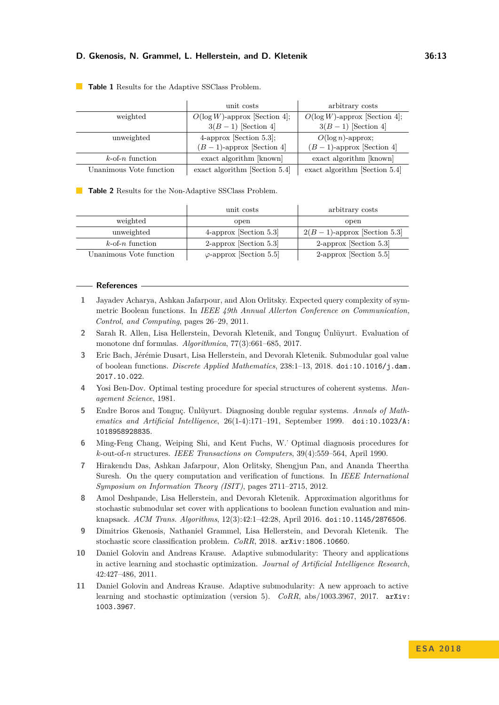|                         | unit costs                       | arbitrary costs                  |
|-------------------------|----------------------------------|----------------------------------|
| weighted                | $O(\log W)$ -approx [Section 4]; | $O(\log W)$ -approx [Section 4]; |
|                         | $3(B-1)$ [Section 4]             | $3(B-1)$ [Section 4]             |
| unweighted              | $4$ -approx [Section 5.3];       | $O(\log n)$ -approx;             |
|                         | $(B-1)$ -approx [Section 4]      | $(B-1)$ -approx [Section 4]      |
| $k$ -of-n function      | exact algorithm [known]          | exact algorithm [known]          |
| Unanimous Vote function | exact algorithm [Section $5.4$ ] | exact algorithm [Section $5.4$ ] |

#### **Table 1** Results for the Adaptive SSClass Problem.

**Table 2** Results for the Non-Adaptive SSClass Problem.

|                         | unit costs                      | arbitrary costs                |
|-------------------------|---------------------------------|--------------------------------|
| weighted                | open                            | open                           |
| unweighted              | $4$ -approx [Section 5.3]       | $2(B-1)$ -approx [Section 5.3] |
| $k$ -of-n function      | $2$ -approx [Section 5.3]       | 2-approx [Section $5.3$ ]      |
| Unanimous Vote function | $\varphi$ -approx [Section 5.5] | 2-approx [Section $5.5$ ]      |

#### **References**

- <span id="page-12-6"></span>**1** Jayadev Acharya, Ashkan Jafarpour, and Alon Orlitsky. Expected query complexity of symmetric Boolean functions. In *IEEE 49th Annual Allerton Conference on Communication, Control, and Computing*, pages 26–29, 2011.
- <span id="page-12-8"></span>**2** Sarah R. Allen, Lisa Hellerstein, Devorah Kletenik, and Tonguç Ünlüyurt. Evaluation of monotone dnf formulas. *Algorithmica*, 77(3):661–685, 2017.
- <span id="page-12-7"></span>**3** Eric Bach, Jérémie Dusart, Lisa Hellerstein, and Devorah Kletenik. Submodular goal value of boolean functions. *Discrete Applied Mathematics*, 238:1–13, 2018. [doi:10.1016/j.dam.](http://dx.doi.org/10.1016/j.dam.2017.10.022) [2017.10.022](http://dx.doi.org/10.1016/j.dam.2017.10.022).
- <span id="page-12-3"></span>**4** Yosi Ben-Dov. Optimal testing procedure for special structures of coherent systems. *Management Science*, 1981.
- <span id="page-12-9"></span>**5** Endre Boros and Tonguç. Ünlüyurt. Diagnosing double regular systems. *Annals of Mathematics and Artificial Intelligence*, 26(1-4):171–191, September 1999. [doi:10.1023/A:](http://dx.doi.org/10.1023/A:1018958928835) [1018958928835](http://dx.doi.org/10.1023/A:1018958928835).
- <span id="page-12-4"></span>**6** Ming-Feng Chang, Weiping Shi, and Kent Fuchs, W.˙ Optimal diagnosis procedures for *k*-out-of-*n* structures. *IEEE Transactions on Computers*, 39(4):559–564, April 1990.
- <span id="page-12-5"></span>**7** Hirakendu Das, Ashkan Jafarpour, Alon Orlitsky, Shengjun Pan, and Ananda Theertha Suresh. On the query computation and verification of functions. In *IEEE International Symposium on Information Theory (ISIT)*, pages 2711–2715, 2012.
- <span id="page-12-1"></span>**8** Amol Deshpande, Lisa Hellerstein, and Devorah Kletenik. Approximation algorithms for stochastic submodular set cover with applications to boolean function evaluation and minknapsack. *ACM Trans. Algorithms*, 12(3):42:1–42:28, April 2016. [doi:10.1145/2876506](http://dx.doi.org/10.1145/2876506).
- <span id="page-12-0"></span>**9** Dimitrios Gkenosis, Nathaniel Grammel, Lisa Hellerstein, and Devorah Kletenik. The stochastic score classification problem. *CoRR*, 2018. [arXiv:1806.10660](http://arxiv.org/abs/1806.10660).
- <span id="page-12-2"></span>**10** Daniel Golovin and Andreas Krause. Adaptive submodularity: Theory and applications in active learning and stochastic optimization. *Journal of Artificial Intelligence Research*, 42:427–486, 2011.
- <span id="page-12-10"></span>**11** Daniel Golovin and Andreas Krause. Adaptive submodularity: A new approach to active learning and stochastic optimization (version 5). *CoRR*, abs/1003.3967, 2017. [arXiv:](http://arxiv.org/abs/1003.3967) [1003.3967](http://arxiv.org/abs/1003.3967).